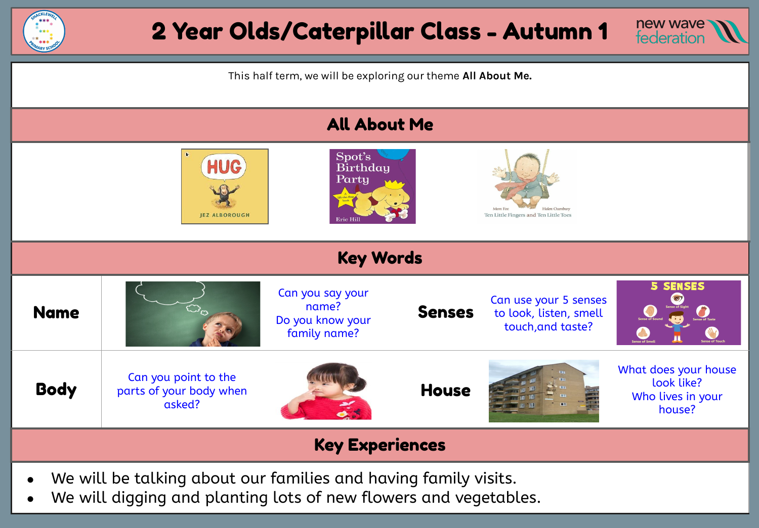



This half term, we will be exploring our theme **All About Me.** 



We will digging and planting lots of new flowers and vegetables.